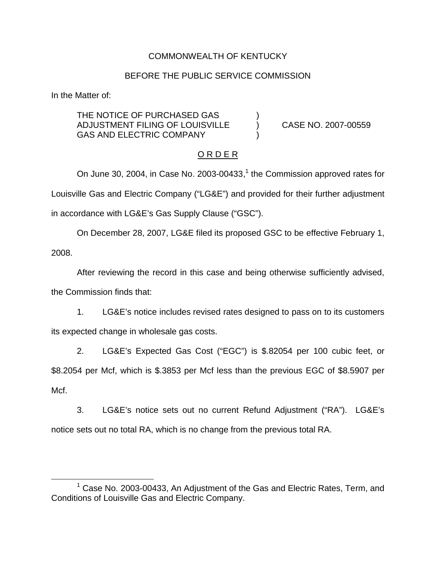## COMMONWEALTH OF KENTUCKY

#### BEFORE THE PUBLIC SERVICE COMMISSION

In the Matter of:

THE NOTICE OF PURCHASED GAS ADJUSTMENT FILING OF LOUISVILLE ) CASE NO. 2007-00559 GAS AND ELECTRIC COMPANY

### O R D E R

On June 30, 2004, in Case No. 2003-00433, $<sup>1</sup>$  the Commission approved rates for</sup> Louisville Gas and Electric Company ("LG&E") and provided for their further adjustment in accordance with LG&E's Gas Supply Clause ("GSC").

On December 28, 2007, LG&E filed its proposed GSC to be effective February 1, 2008.

After reviewing the record in this case and being otherwise sufficiently advised, the Commission finds that:

1. LG&E's notice includes revised rates designed to pass on to its customers its expected change in wholesale gas costs.

2. LG&E's Expected Gas Cost ("EGC") is \$.82054 per 100 cubic feet, or \$8.2054 per Mcf, which is \$.3853 per Mcf less than the previous EGC of \$8.5907 per Mcf.

3. LG&E's notice sets out no current Refund Adjustment ("RA"). LG&E's notice sets out no total RA, which is no change from the previous total RA.

 $1$  Case No. 2003-00433, An Adjustment of the Gas and Electric Rates, Term, and Conditions of Louisville Gas and Electric Company.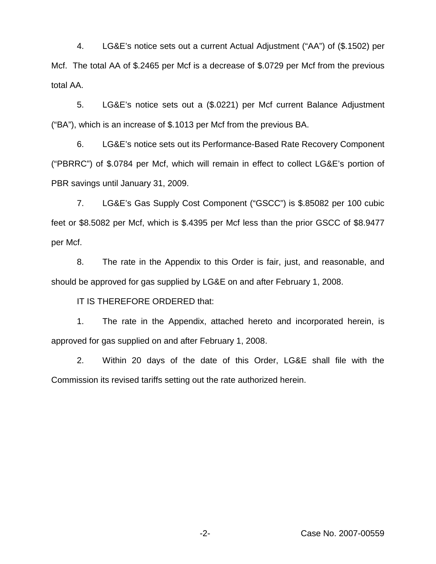4. LG&E's notice sets out a current Actual Adjustment ("AA") of (\$.1502) per Mcf. The total AA of \$.2465 per Mcf is a decrease of \$.0729 per Mcf from the previous total AA.

5. LG&E's notice sets out a (\$.0221) per Mcf current Balance Adjustment ("BA"), which is an increase of \$.1013 per Mcf from the previous BA.

6. LG&E's notice sets out its Performance-Based Rate Recovery Component ("PBRRC") of \$.0784 per Mcf, which will remain in effect to collect LG&E's portion of PBR savings until January 31, 2009.

7. LG&E's Gas Supply Cost Component ("GSCC") is \$.85082 per 100 cubic feet or \$8.5082 per Mcf, which is \$.4395 per Mcf less than the prior GSCC of \$8.9477 per Mcf.

8. The rate in the Appendix to this Order is fair, just, and reasonable, and should be approved for gas supplied by LG&E on and after February 1, 2008.

IT IS THEREFORE ORDERED that:

1. The rate in the Appendix, attached hereto and incorporated herein, is approved for gas supplied on and after February 1, 2008.

2. Within 20 days of the date of this Order, LG&E shall file with the Commission its revised tariffs setting out the rate authorized herein.

-2- Case No. 2007-00559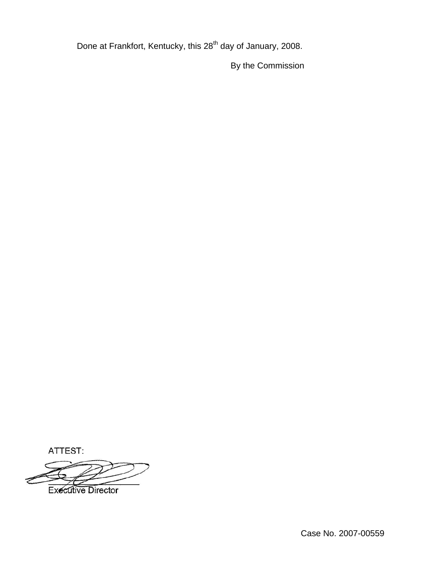Done at Frankfort, Kentucky, this 28<sup>th</sup> day of January, 2008.

By the Commission

ATTEST:

**Executive Director**